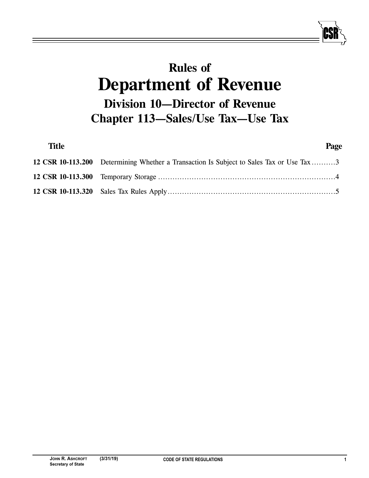# **Rules of**<br>**Department of Revenue Division 10-Director of Revenue Digitary**<br> **Digitary**<br> **Digitary**<br> **Digitary**<br> **Digitary**<br> **Digitary Chapter 113—Sales**

| <b>Title</b> |                                                                                          | Page |
|--------------|------------------------------------------------------------------------------------------|------|
|              | 12 CSR 10-113.200 Determining Whether a Transaction Is Subject to Sales Tax or Use Tax 3 |      |
|              |                                                                                          |      |
|              |                                                                                          |      |
|              |                                                                                          |      |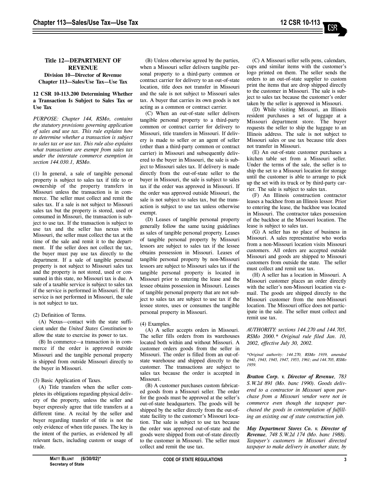### **Title 12—DEPARTMENT OF Division 10-Director of Revenue Division 113—Salos/Hiso Tay—Hiso T Chapter 113—Sales/Use Tax—Use Tax**

## **12 CSR 10-113.200 Determining Whether Use Tax**

*PURPOSE: Chapter 144, RSMo, contains the statutory provisions governing application of sales and use tax. This rule explains how to determine whether a transaction is subject to sales tax or use tax. This rule also explains what transactions are exempt from sales tax under the interstate commerce exemption in section 144.030.1, RSMo.*

(1) In general, a sale of tangible personal property is subject to sales tax if title to or ownership of the property transfers in Missouri unless the transaction is in commerce. The seller must collect and remit the sales tax. If a sale is not subject to Missouri sales tax but the property is stored, used or consumed in Missouri, the transaction is subject to use tax. If the transaction is subject to use tax and the seller has nexus with Missouri, the seller must collect the tax at the time of the sale and remit it to the department. If the seller does not collect the tax, the buyer must pay use tax directly to the department. If a sale of tangible personal property is not subject to Missouri sales tax and the property is not stored, used or consumed in this state, no Missouri tax is due. A sale of a taxable service is subject to sales tax if the service is performed in Missouri. If the service is not performed in Missouri, the sale is not subject to tax.

#### (2) Definition of Terms.

(A) Nexus—contact with the state sufficient under the *United States Constitution* to allow the state to exercise its power to tax.

(B) In commerce—a transaction is in commerce if the order is approved outside Missouri and the tangible personal property is shipped from outside Missouri directly to the buyer in Missouri.

#### (3) Basic Application of Taxes.

(A) Title transfers when the seller completes its obligations regarding physical delivery of the property, unless the seller and buyer expressly agree that title transfers at a different time. A recital by the seller and buyer regarding transfer of title is not the only evidence of when title passes. The key is the intent of the parties, as evidenced by all relevant facts, including custom or usage of trade.

(B) Unless otherwise agreed by the parties, when a Missouri seller delivers tangible personal property to a third-party common or contract carrier for delivery to an out-of-state location, title does not transfer in Missouri and the sale is not subject to Missouri sales tax. A buyer that carries its own goods is not acting as a common or contract carrier.

(C) When an out-of-state seller delivers tangible personal property to a third-party common or contract carrier for delivery to Missouri, title transfers in Missouri. If delivery is made to seller or an agent of seller (other than a third-party common or contract carrier) in Missouri and subsequently delivered to the buyer in Missouri, the sale is subject to Missouri sales tax. If delivery is made directly from the out-of-state seller to the buyer in Missouri, the sale is subject to sales tax if the order was approved in Missouri. If the order was approved outside Missouri, the sale is not subject to sales tax, but the transaction is subject to use tax unless otherwise exempt.

(D) Leases of tangible personal property generally follow the same taxing guidelines as sales of tangible personal property. Leases of tangible personal property by Missouri lessors are subject to sales tax if the lessee obtains possession in Missouri. Leases of tangible personal property by non-Missouri lessors are subject to Missouri sales tax if the tangible personal property is located in Missouri prior to entering the lease and the lessee obtains possession in Missouri. Leases of tangible personal property that are not subject to sales tax are subject to use tax if the lessee stores, uses or consumes the tangible personal property in Missouri.

(4) Examples.

(A) A seller accepts orders in Missouri. The seller fills orders from its warehouses located both within and without Missouri. A customer orders goods from the seller in Missouri. The order is filled from an out-ofstate warehouse and shipped directly to the customer. The transactions are subject to sales tax because the order is accepted in Missouri.

(B) A customer purchases custom fabricated goods from a Missouri seller. The order for the goods must be approved at the seller's out-of-state headquarters. The goods will be shipped by the seller directly from the out-ofstate facility to the customer's Missouri location. The sale is subject to use tax because the order was approved out-of-state and the goods were shipped from out-of-state directly to the customer in Missouri. The seller must collect and remit the use tax.

(C) A Missouri seller sells pens, calendars, cups and similar items with the customer's logo printed on them. The seller sends the orders to an out-of-state supplier to custom print the items that are drop shipped directly to the customer in Missouri. The sale is subject to sales tax because the customer's order taken by the seller is approved in Missouri.

(D) While visiting Missouri, an Illinois resident purchases a set of luggage at a Missouri department store. The buyer requests the seller to ship the luggage to an Illinois address. The sale is not subject to Missouri sales or use tax because title does not transfer in Missouri.

(E) An out-of-state customer purchases a kitchen table set from a Missouri seller. Under the terms of the sale, the seller is to ship the set to a Missouri location for storage until the customer is able to arrange to pick up the set with its truck or by third-party carrier. The sale is subject to sales tax.

(F) An Illinois construction contractor leases a backhoe from an Illinois lessor. Prior to entering the lease, the backhoe was located in Missouri. The contractor takes possession of the backhoe at the Missouri location. The lease is subject to sales tax.

(G) A seller has no place of business in Missouri. A sales representative who works from a non-Missouri location visits Missouri customers. All orders are accepted outside Missouri and goods are shipped to Missouri customers from outside the state. The seller must collect and remit use tax.

(H) A seller has a location in Missouri. A Missouri customer places an order directly with the seller's non-Missouri location via email. The goods are shipped directly to the Missouri customer from the non-Missouri location. The Missouri office does not participate in the sale. The seller must collect and remit use tax.

*AUTHORITY: sections 144.270 and 144.705, RSMo 2000.\* Original rule filed Jan. 10, 2002, effective July 30, 2002.*

*\*Original authority: 144.270, RSMo 1939, amended 1941, 1943, 1945, 1947, 1955, 1961; and 144.705, RSMo 1959.*

*Bratton Corp. v. Director of Revenue, 783 S.W.2d 891 (Mo. banc 1990). Goods delivered to a contractor in Missouri upon purchase from a Missouri vendor were not in commerce even though the taxpayer purchased the goods in contemplation of fulfilling an existing out of state construction job.* 

*May Department Stores Co. v. Director of Revenue, 748 S.W.2d 174 (Mo. banc 1988). Taxpayer's customers in Missouri directed taxpayer to make delivery in another state, by*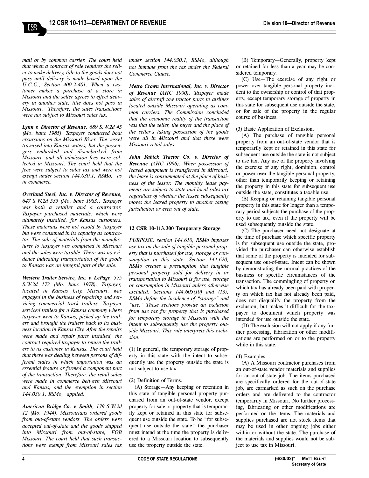$\operatorname{ES}$ 

*mail or by common carrier. The court held that when a contract of sale requires the seller to make delivery, title to the goods does not pass until delivery is made based upon the U.C.C., Section 400.2-401. When a customer makes a purchase at a store in Missouri and the seller agrees to effect delivery in another state, title does not pass in Missouri. Therefore, the sales transactions were not subject to Missouri sales tax.* 

*Lynn v. Director of Revenue, 689 S.W.2d 45 (Mo. banc 1985). Taxpayer conducted boat excursions on the Missouri River. The vessel traversed into Kansas waters, but the passengers embarked and disembarked from Missouri, and all admission fees were collected in Missouri. The court held that the fees were subject to sales tax and were not exempt under section 144.030.1, RSMo, as in commerce.*

*Overland Steel, Inc. v. Director of Revenue, 647 S.W.2d 535 (Mo. banc 1983). Taxpayer was both a retailer and a contractor. Taxpayer purchased materials, which were ultimately installed, for Kansas customers. These materials were not resold by taxpayer but were consumed in its capacity as contractor. The sale of materials from the manufacturer to taxpayer was completed in Missouri and the sales were taxable. There was no evidence indicating transportation of the goods to Kansas was an integral part of the sale.* 

*Western Trailer Service, Inc. v. LePage, 575 S.W.2d 173 (Mo. banc 1978). Taxpayer, located in Kansas City, Missouri, was engaged in the business of repairing and servicing commercial truck trailers. Taxpayer serviced trailers for a Kansas company where taxpayer went to Kansas, picked up the trailers and brought the trailers back to its business location in Kansas City. After the repairs were made and repair parts installed, the contract required taxpayer to return the trailers to its customer in Kansas. The court held that there was dealing between persons of different states in which importation was an essential feature or formed a component part of the transaction. Therefore, the retail sales were made in commerce between Missouri and Kansas, and the exemption in section 144.030.1, RSMo, applied.*

*American Bridge Co. v. Smith, 179 S.W.2d 12 (Mo. 1944). Missourians ordered goods from out-of-state vendors. The orders were accepted out-of-state and the goods shipped into Missouri from out-of-state, FOB Missouri. The court held that such transactions were exempt from Missouri sales tax*

*under section 144.030.1, RSMo, although not immune from the tax under the Federal Commerce Clause.* 

*Metro Crown International, Inc. v. Director of Revenue (AHC 1990). Taxpayer made sales of aircraft tow tractor parts to airlines located outside Missouri operating as common carriers. The Commission concluded that the economic reality of the transaction was that the seller, the buyer and the place of the seller's taking possession of the goods were all in Missouri and that these were Missouri retail sales.*

*John Fabick Tractor Co. v. Director of Revenue (AHC 1996). When possession of leased equipment is transferred in Missouri, the lease is consummated at the place of business of the lessor. The monthly lease payments are subject to state and local sales tax regardless of whether the lessee subsequently moves the leased property to another taxing jurisdiction or even out of state.*

#### **12 CSR 10-113.300 Temporary Storage**

*PURPOSE: section 144.610, RSMo imposes use tax on the sale of tangible personal property that is purchased for use, storage or consumption in this state. Section 144.620, RSMo creates a presumption that tangible personal property sold for delivery in or transportation to Missouri is for use, storage or consumption in Missouri unless otherwise excluded. Sections 144.605(10) and (13), RSMo define the incidence of "storage" and "use." These sections provide an exclusion from use tax for property that is purchased for temporary storage in Missouri with the intent to subsequently use the property outside Missouri. This rule interprets this exclusion.*

(1) In general, the temporary storage of property in this state with the intent to subsequently use the property outside the state is not subject to use tax.

#### (2) Definition of Terms.

(A) Storage—Any keeping or retention in this state of tangible personal property purchased from an out-of-state vendor, except property for sale or property that is temporarily kept or retained in this state for subsequent use outside the state. To be "for subsequent use outside the state" the purchaser must intend at the time the property is delivered to a Missouri location to subsequently use the property outside the state.

(B) Temporary—Generally, property kept or retained for less than a year may be considered temporary.

(C) Use—The exercise of any right or power over tangible personal property incident to the ownership or control of that property, except temporary storage of property in this state for subsequent use outside the state, or for sale of the property in the regular course of business.

(3) Basic Application of Exclusion.

(A) The purchase of tangible personal property from an out-of-state vendor that is temporarily kept or retained in this state for subsequent use outside the state is not subject to use tax. Any use of the property involving the exercise of any right, dominion, control or power over the tangible personal property, other than temporarily keeping or retaining the property in this state for subsequent use outside the state, constitutes a taxable use.

(B) Keeping or retaining tangible personal property in this state for longer than a temporary period subjects the purchase of the property to use tax, even if the property will be used subsequently outside the state.

(C) The purchaser need not designate at the time of purchase which specific property is for subsequent use outside the state, provided the purchaser can otherwise establish that some of the property is intended for subsequent use out-of-state. Intent can be shown by demonstrating the normal practices of the business or specific circumstances of the transaction. The commingling of property on which tax has already been paid with property on which tax has not already been paid, does not disqualify the property from the exclusion, but makes it difficult for the taxpayer to document which property was intended for use outside the state.

(D) The exclusion will not apply if any further processing, fabrication or other modifications are performed on or to the property while in this state.

#### (4) Examples.

(A) A Missouri contractor purchases from an out-of-state vendor materials and supplies for an out-of-state job. The items purchased are specifically ordered for the out-of-state job, are earmarked as such on the purchase orders and are delivered to the contractor temporarily in Missouri. No further processing, fabricating or other modifications are performed on the items. The materials and supplies purchased are not stock items that may be used in other ongoing jobs either within or without the state. The purchase of the materials and supplies would not be subject to use tax in Missouri.